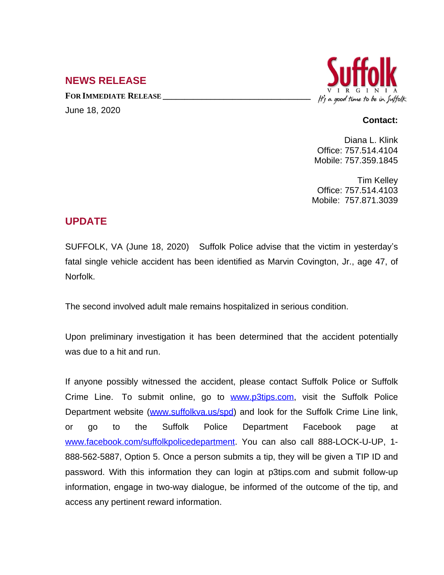# **NEWS RELEASE**

**FOR IMMEDIATE RELEASE \_\_\_\_\_\_\_\_\_\_\_\_\_\_\_\_\_\_\_\_\_\_\_\_\_\_\_\_\_\_\_\_\_\_** June 18, 2020



#### **Contact:**

Diana L. Klink Office: 757.514.4104 Mobile: 757.359.1845

Tim Kelley Office: 757.514.4103 Mobile: 757.871.3039

# **UPDATE**

SUFFOLK, VA (June 18, 2020) Suffolk Police advise that the victim in yesterday's fatal single vehicle accident has been identified as Marvin Covington, Jr., age 47, of Norfolk.

The second involved adult male remains hospitalized in serious condition.

Upon preliminary investigation it has been determined that the accident potentially was due to a hit and run.

If anyone possibly witnessed the accident, please contact Suffolk Police or Suffolk Crime Line. To submit online, go to **[www.p3tips.com](http://www.p3tips.com)**, visit the Suffolk Police Department website ([www.suffolkva.us/spd](http://www.suffolkva.us/spd)) and look for the Suffolk Crime Line link, or go to the Suffolk Police Department Facebook page at [www.facebook.com/suffolkpolicedepartment](http://www.facebook.com/suffolkpolicedepartment). You can also call 888-LOCK-U-UP, 1-888-562-5887, Option 5. Once a person submits a tip, they will be given a TIP ID and password. With this information they can login at p3tips.com and submit follow-up information, engage in two-way dialogue, be informed of the outcome of the tip, and access any pertinent reward information.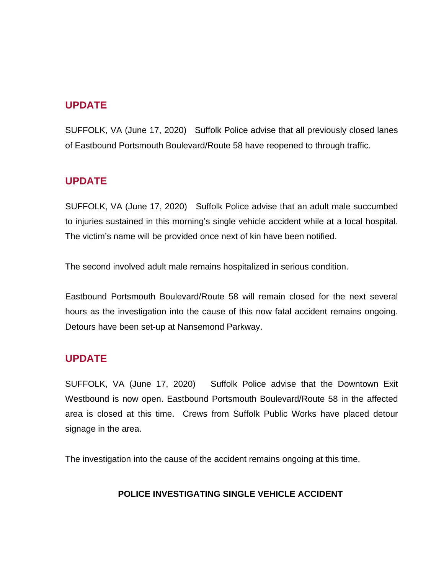# **UPDATE**

SUFFOLK, VA (June 17, 2020) Suffolk Police advise that all previously closed lanes of Eastbound Portsmouth Boulevard/Route 58 have reopened to through traffic.

## **UPDATE**

SUFFOLK, VA (June 17, 2020) Suffolk Police advise that an adult male succumbed to injuries sustained in this morning's single vehicle accident while at a local hospital. The victim's name will be provided once next of kin have been notified.

The second involved adult male remains hospitalized in serious condition.

Eastbound Portsmouth Boulevard/Route 58 will remain closed for the next several hours as the investigation into the cause of this now fatal accident remains ongoing. Detours have been set-up at Nansemond Parkway.

# **UPDATE**

SUFFOLK, VA (June 17, 2020) Suffolk Police advise that the Downtown Exit Westbound is now open. Eastbound Portsmouth Boulevard/Route 58 in the affected area is closed at this time. Crews from Suffolk Public Works have placed detour signage in the area.

The investigation into the cause of the accident remains ongoing at this time.

### **POLICE INVESTIGATING SINGLE VEHICLE ACCIDENT**